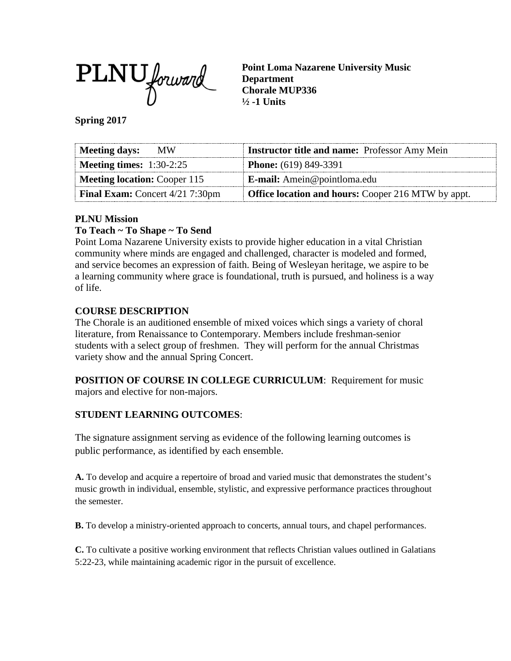

**Point Loma Nazarene University Music Department Chorale MUP336 ½ -1 Units**

**Spring 2017**

| Meeting days:<br>MW.                   | <b>Instructor title and name:</b> Professor Amy Mein      |
|----------------------------------------|-----------------------------------------------------------|
| <b>Meeting times:</b> $1:30-2:25$      | <b>Phone:</b> (619) 849-3391                              |
| <b>Meeting location: Cooper 115</b>    | <b>E-mail:</b> Amein@pointloma.edu                        |
| <b>Final Exam:</b> Concert 4/21 7:30pm | <b>Office location and hours:</b> Cooper 216 MTW by appt. |

## **PLNU Mission**

## **To Teach ~ To Shape ~ To Send**

Point Loma Nazarene University exists to provide higher education in a vital Christian community where minds are engaged and challenged, character is modeled and formed, and service becomes an expression of faith. Being of Wesleyan heritage, we aspire to be a learning community where grace is foundational, truth is pursued, and holiness is a way of life.

## **COURSE DESCRIPTION**

The Chorale is an auditioned ensemble of mixed voices which sings a variety of choral literature, from Renaissance to Contemporary. Members include freshman-senior students with a select group of freshmen. They will perform for the annual Christmas variety show and the annual Spring Concert.

**POSITION OF COURSE IN COLLEGE CURRICULUM**: Requirement for music majors and elective for non-majors.

## **STUDENT LEARNING OUTCOMES**:

The signature assignment serving as evidence of the following learning outcomes is public performance, as identified by each ensemble.

**A.** To develop and acquire a repertoire of broad and varied music that demonstrates the student's music growth in individual, ensemble, stylistic, and expressive performance practices throughout the semester.

**B.** To develop a ministry-oriented approach to concerts, annual tours, and chapel performances.

**C.** To cultivate a positive working environment that reflects Christian values outlined in Galatians 5:22-23, while maintaining academic rigor in the pursuit of excellence.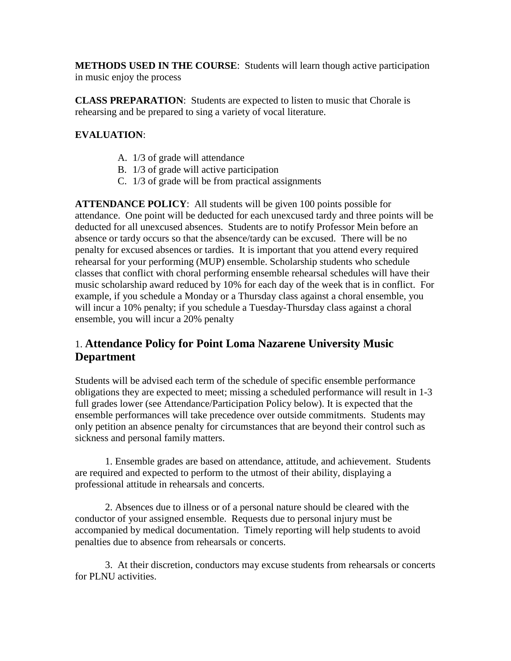**METHODS USED IN THE COURSE**: Students will learn though active participation in music enjoy the process

**CLASS PREPARATION**: Students are expected to listen to music that Chorale is rehearsing and be prepared to sing a variety of vocal literature.

## **EVALUATION**:

- A. 1/3 of grade will attendance
- B. 1/3 of grade will active participation
- C. 1/3 of grade will be from practical assignments

**ATTENDANCE POLICY**: All students will be given 100 points possible for attendance. One point will be deducted for each unexcused tardy and three points will be deducted for all unexcused absences. Students are to notify Professor Mein before an absence or tardy occurs so that the absence/tardy can be excused. There will be no penalty for excused absences or tardies. It is important that you attend every required rehearsal for your performing (MUP) ensemble. Scholarship students who schedule classes that conflict with choral performing ensemble rehearsal schedules will have their music scholarship award reduced by 10% for each day of the week that is in conflict. For example, if you schedule a Monday or a Thursday class against a choral ensemble, you will incur a 10% penalty; if you schedule a Tuesday-Thursday class against a choral ensemble, you will incur a 20% penalty

## 1. **Attendance Policy for Point Loma Nazarene University Music Department**

Students will be advised each term of the schedule of specific ensemble performance obligations they are expected to meet; missing a scheduled performance will result in 1-3 full grades lower (see Attendance/Participation Policy below). It is expected that the ensemble performances will take precedence over outside commitments. Students may only petition an absence penalty for circumstances that are beyond their control such as sickness and personal family matters.

1. Ensemble grades are based on attendance, attitude, and achievement. Students are required and expected to perform to the utmost of their ability, displaying a professional attitude in rehearsals and concerts.

2. Absences due to illness or of a personal nature should be cleared with the conductor of your assigned ensemble. Requests due to personal injury must be accompanied by medical documentation. Timely reporting will help students to avoid penalties due to absence from rehearsals or concerts.

3. At their discretion, conductors may excuse students from rehearsals or concerts for PLNU activities.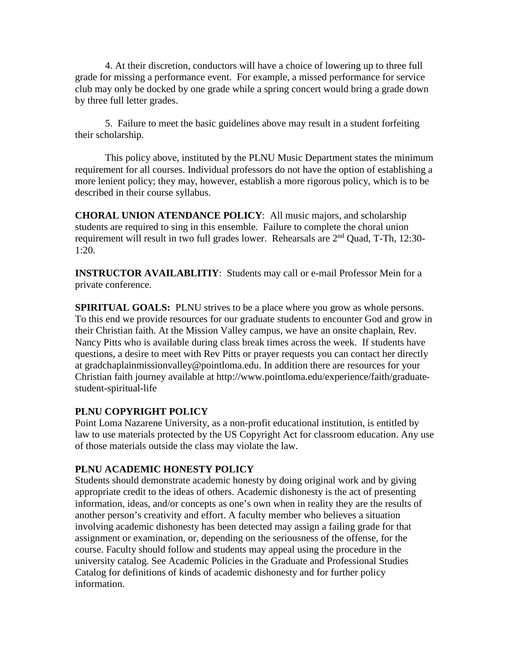4. At their discretion, conductors will have a choice of lowering up to three full grade for missing a performance event. For example, a missed performance for service club may only be docked by one grade while a spring concert would bring a grade down by three full letter grades.

5. Failure to meet the basic guidelines above may result in a student forfeiting their scholarship.

This policy above, instituted by the PLNU Music Department states the minimum requirement for all courses. Individual professors do not have the option of establishing a more lenient policy; they may, however, establish a more rigorous policy, which is to be described in their course syllabus.

**CHORAL UNION ATENDANCE POLICY**: All music majors, and scholarship students are required to sing in this ensemble. Failure to complete the choral union requirement will result in two full grades lower. Rehearsals are 2nd Quad, T-Th, 12:30- 1:20.

**INSTRUCTOR AVAILABLITIY**: Students may call or e-mail Professor Mein for a private conference.

**SPIRITUAL GOALS:** PLNU strives to be a place where you grow as whole persons. To this end we provide resources for our graduate students to encounter God and grow in their Christian faith. At the Mission Valley campus, we have an onsite chaplain, Rev. Nancy Pitts who is available during class break times across the week. If students have questions, a desire to meet with Rev Pitts or prayer requests you can contact her directly at gradchaplainmissionvalley@pointloma.edu. In addition there are resources for your Christian faith journey available at http://www.pointloma.edu/experience/faith/graduatestudent-spiritual-life

## **PLNU COPYRIGHT POLICY**

Point Loma Nazarene University, as a non-profit educational institution, is entitled by law to use materials protected by the US Copyright Act for classroom education. Any use of those materials outside the class may violate the law.

## **PLNU ACADEMIC HONESTY POLICY**

Students should demonstrate academic honesty by doing original work and by giving appropriate credit to the ideas of others. Academic dishonesty is the act of presenting information, ideas, and/or concepts as one's own when in reality they are the results of another person's creativity and effort. A faculty member who believes a situation involving academic dishonesty has been detected may assign a failing grade for that assignment or examination, or, depending on the seriousness of the offense, for the course. Faculty should follow and students may appeal using the procedure in the university catalog. See Academic Policies in the Graduate and Professional Studies Catalog for definitions of kinds of academic dishonesty and for further policy information.